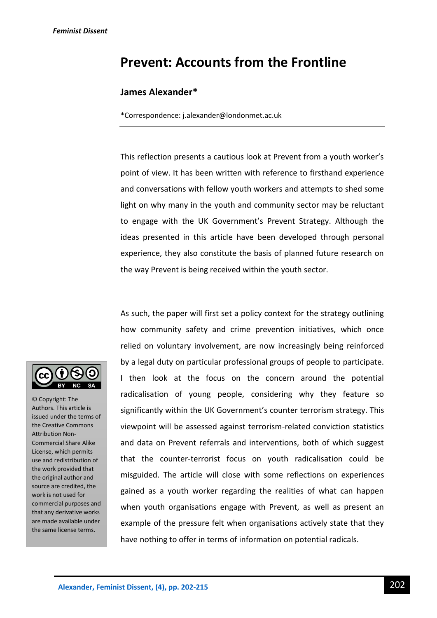# **Prevent: Accounts from the Frontline**

## **James Alexander\***

\*Correspondence: j.alexander@londonmet.ac.uk

This reflection presents a cautious look at Prevent from a youth worker's point of view. It has been written with reference to firsthand experience and conversations with fellow youth workers and attempts to shed some light on why many in the youth and community sector may be reluctant to engage with the UK Government's Prevent Strategy. Although the ideas presented in this article have been developed through personal experience, they also constitute the basis of planned future research on the way Prevent is being received within the youth sector.

As such, the paper will first set a policy context for the strategy outlining how community safety and crime prevention initiatives, which once relied on voluntary involvement, are now increasingly being reinforced by a legal duty on particular professional groups of people to participate. I then look at the focus on the concern around the potential radicalisation of young people, considering why they feature so significantly within the UK Government's counter terrorism strategy. This viewpoint will be assessed against terrorism-related conviction statistics and data on Prevent referrals and interventions, both of which suggest that the counter-terrorist focus on youth radicalisation could be misguided. The article will close with some reflections on experiences gained as a youth worker regarding the realities of what can happen when youth organisations engage with Prevent, as well as present an example of the pressure felt when organisations actively state that they have nothing to offer in terms of information on potential radicals.



© Copyright: The Authors. This article is issued under the terms of the Creative Commons Attribution Non-Commercial Share Alike License, which permits use and redistribution of the work provided that the original author and source are credited, the work is not used for commercial purposes and that any derivative works are made available under the same license terms.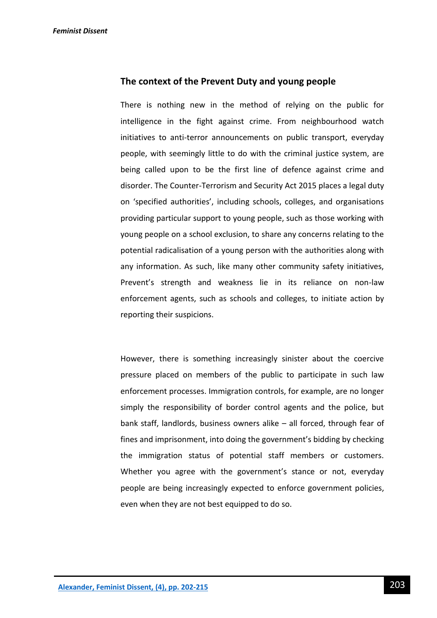### **The context of the Prevent Duty and young people**

There is nothing new in the method of relying on the public for intelligence in the fight against crime. From neighbourhood watch initiatives to anti-terror announcements on public transport, everyday people, with seemingly little to do with the criminal justice system, are being called upon to be the first line of defence against crime and disorder. The Counter-Terrorism and Security Act 2015 places a legal duty on 'specified authorities', including schools, colleges, and organisations providing particular support to young people, such as those working with young people on a school exclusion, to share any concerns relating to the potential radicalisation of a young person with the authorities along with any information. As such, like many other community safety initiatives, Prevent's strength and weakness lie in its reliance on non-law enforcement agents, such as schools and colleges, to initiate action by reporting their suspicions.

However, there is something increasingly sinister about the coercive pressure placed on members of the public to participate in such law enforcement processes. Immigration controls, for example, are no longer simply the responsibility of border control agents and the police, but bank staff, landlords, business owners alike – all forced, through fear of fines and imprisonment, into doing the government's bidding by checking the immigration status of potential staff members or customers. Whether you agree with the government's stance or not, everyday people are being increasingly expected to enforce government policies, even when they are not best equipped to do so.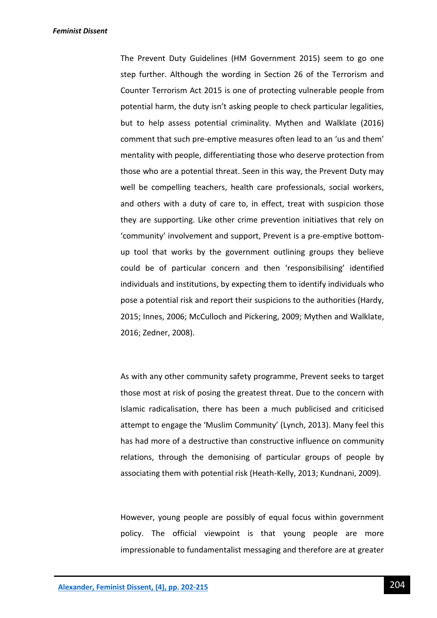The Prevent Duty Guidelines (HM Government 2015) seem to go one step further. Although the wording in Section 26 of the Terrorism and Counter Terrorism Act 2015 is one of protecting vulnerable people from potential harm, the duty isn't asking people to check particular legalities, but to help assess potential criminality. Mythen and Walklate (2016) comment that such pre-emptive measures often lead to an 'us and them' mentality with people, differentiating those who deserve protection from those who are a potential threat. Seen in this way, the Prevent Duty may well be compelling teachers, health care professionals, social workers, and others with a duty of care to, in effect, treat with suspicion those they are supporting. Like other crime prevention initiatives that rely on 'community' involvement and support, Prevent is a pre-emptive bottomup tool that works by the government outlining groups they believe could be of particular concern and then 'responsibilising' identified individuals and institutions, by expecting them to identify individuals who pose a potential risk and report their suspicions to the authorities (Hardy, 2015; Innes, 2006; McCulloch and Pickering, 2009; Mythen and Walklate, 2016; Zedner, 2008).

As with any other community safety programme, Prevent seeks to target those most at risk of posing the greatest threat. Due to the concern with Islamic radicalisation, there has been a much publicised and criticised attempt to engage the 'Muslim Community' (Lynch, 2013). Many feel this has had more of a destructive than constructive influence on community relations, through the demonising of particular groups of people by associating them with potential risk (Heath-Kelly, 2013; Kundnani, 2009).

However, young people are possibly of equal focus within government policy. The official viewpoint is that young people are more impressionable to fundamentalist messaging and therefore are at greater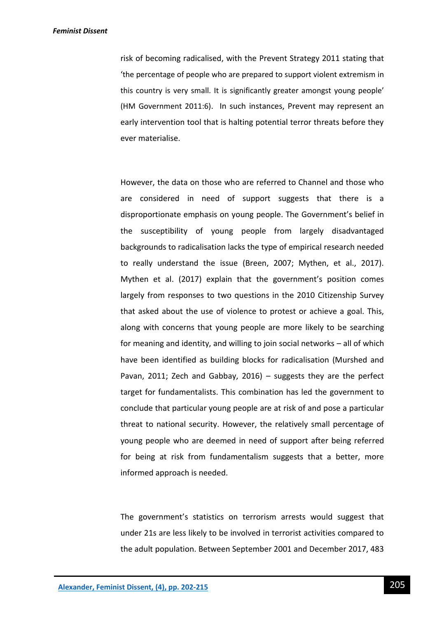risk of becoming radicalised, with the Prevent Strategy 2011 stating that 'the percentage of people who are prepared to support violent extremism in this country is very small. It is significantly greater amongst young people' (HM Government 2011:6). In such instances, Prevent may represent an early intervention tool that is halting potential terror threats before they ever materialise.

However, the data on those who are referred to Channel and those who are considered in need of support suggests that there is a disproportionate emphasis on young people. The Government's belief in the susceptibility of young people from largely disadvantaged backgrounds to radicalisation lacks the type of empirical research needed to really understand the issue (Breen, 2007; Mythen, et al., 2017). Mythen et al. (2017) explain that the government's position comes largely from responses to two questions in the 2010 Citizenship Survey that asked about the use of violence to protest or achieve a goal. This, along with concerns that young people are more likely to be searching for meaning and identity, and willing to join social networks – all of which have been identified as building blocks for radicalisation (Murshed and Pavan, 2011; Zech and Gabbay, 2016) – suggests they are the perfect target for fundamentalists. This combination has led the government to conclude that particular young people are at risk of and pose a particular threat to national security. However, the relatively small percentage of young people who are deemed in need of support after being referred for being at risk from fundamentalism suggests that a better, more informed approach is needed.

The government's statistics on terrorism arrests would suggest that under 21s are less likely to be involved in terrorist activities compared to the adult population. Between September 2001 and December 2017, 483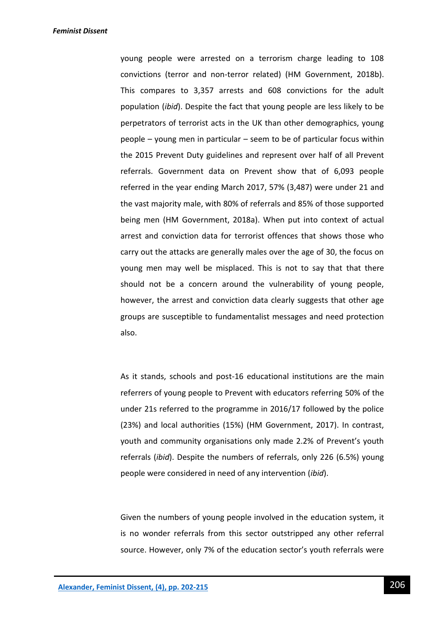young people were arrested on a terrorism charge leading to 108 convictions (terror and non-terror related) (HM Government, 2018b). This compares to 3,357 arrests and 608 convictions for the adult population (*ibid*). Despite the fact that young people are less likely to be perpetrators of terrorist acts in the UK than other demographics, young people – young men in particular – seem to be of particular focus within the 2015 Prevent Duty guidelines and represent over half of all Prevent referrals. Government data on Prevent show that of 6,093 people referred in the year ending March 2017, 57% (3,487) were under 21 and the vast majority male, with 80% of referrals and 85% of those supported being men (HM Government, 2018a). When put into context of actual arrest and conviction data for terrorist offences that shows those who carry out the attacks are generally males over the age of 30, the focus on young men may well be misplaced. This is not to say that that there should not be a concern around the vulnerability of young people, however, the arrest and conviction data clearly suggests that other age groups are susceptible to fundamentalist messages and need protection also.

As it stands, schools and post-16 educational institutions are the main referrers of young people to Prevent with educators referring 50% of the under 21s referred to the programme in 2016/17 followed by the police (23%) and local authorities (15%) (HM Government, 2017). In contrast, youth and community organisations only made 2.2% of Prevent's youth referrals (*ibid*). Despite the numbers of referrals, only 226 (6.5%) young people were considered in need of any intervention (*ibid*).

Given the numbers of young people involved in the education system, it is no wonder referrals from this sector outstripped any other referral source. However, only 7% of the education sector's youth referrals were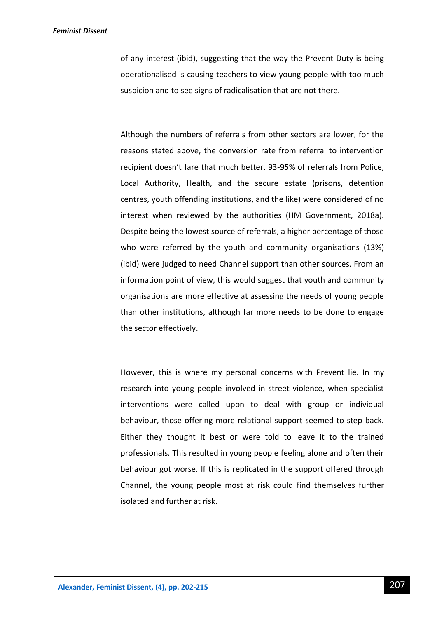of any interest (ibid), suggesting that the way the Prevent Duty is being operationalised is causing teachers to view young people with too much suspicion and to see signs of radicalisation that are not there.

Although the numbers of referrals from other sectors are lower, for the reasons stated above, the conversion rate from referral to intervention recipient doesn't fare that much better. 93-95% of referrals from Police, Local Authority, Health, and the secure estate (prisons, detention centres, youth offending institutions, and the like) were considered of no interest when reviewed by the authorities (HM Government, 2018a). Despite being the lowest source of referrals, a higher percentage of those who were referred by the youth and community organisations (13%) (ibid) were judged to need Channel support than other sources. From an information point of view, this would suggest that youth and community organisations are more effective at assessing the needs of young people than other institutions, although far more needs to be done to engage the sector effectively.

However, this is where my personal concerns with Prevent lie. In my research into young people involved in street violence, when specialist interventions were called upon to deal with group or individual behaviour, those offering more relational support seemed to step back. Either they thought it best or were told to leave it to the trained professionals. This resulted in young people feeling alone and often their behaviour got worse. If this is replicated in the support offered through Channel, the young people most at risk could find themselves further isolated and further at risk.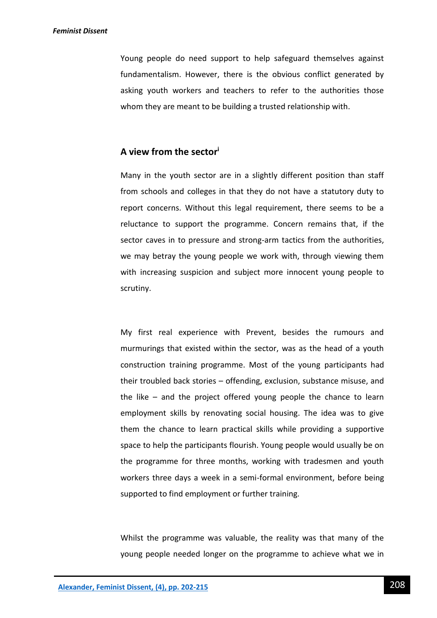Young people do need support to help safeguard themselves against fundamentalism. However, there is the obvious conflict generated by asking youth workers and teachers to refer to the authorities those whom they are meant to be building a trusted relationship with.

# **A view from the sector<sup>i</sup>**

Many in the youth sector are in a slightly different position than staff from schools and colleges in that they do not have a statutory duty to report concerns. Without this legal requirement, there seems to be a reluctance to support the programme. Concern remains that, if the sector caves in to pressure and strong-arm tactics from the authorities, we may betray the young people we work with, through viewing them with increasing suspicion and subject more innocent young people to scrutiny.

My first real experience with Prevent, besides the rumours and murmurings that existed within the sector, was as the head of a youth construction training programme. Most of the young participants had their troubled back stories – offending, exclusion, substance misuse, and the like – and the project offered young people the chance to learn employment skills by renovating social housing. The idea was to give them the chance to learn practical skills while providing a supportive space to help the participants flourish. Young people would usually be on the programme for three months, working with tradesmen and youth workers three days a week in a semi-formal environment, before being supported to find employment or further training.

Whilst the programme was valuable, the reality was that many of the young people needed longer on the programme to achieve what we in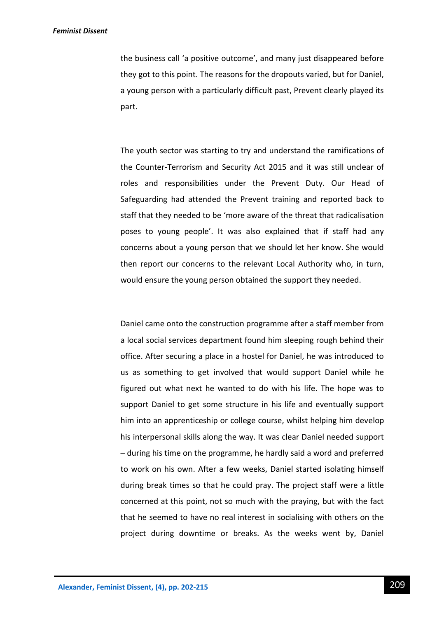the business call 'a positive outcome', and many just disappeared before they got to this point. The reasons for the dropouts varied, but for Daniel, a young person with a particularly difficult past, Prevent clearly played its part.

The youth sector was starting to try and understand the ramifications of the Counter-Terrorism and Security Act 2015 and it was still unclear of roles and responsibilities under the Prevent Duty. Our Head of Safeguarding had attended the Prevent training and reported back to staff that they needed to be 'more aware of the threat that radicalisation poses to young people'. It was also explained that if staff had any concerns about a young person that we should let her know. She would then report our concerns to the relevant Local Authority who, in turn, would ensure the young person obtained the support they needed.

Daniel came onto the construction programme after a staff member from a local social services department found him sleeping rough behind their office. After securing a place in a hostel for Daniel, he was introduced to us as something to get involved that would support Daniel while he figured out what next he wanted to do with his life. The hope was to support Daniel to get some structure in his life and eventually support him into an apprenticeship or college course, whilst helping him develop his interpersonal skills along the way. It was clear Daniel needed support – during his time on the programme, he hardly said a word and preferred to work on his own. After a few weeks, Daniel started isolating himself during break times so that he could pray. The project staff were a little concerned at this point, not so much with the praying, but with the fact that he seemed to have no real interest in socialising with others on the project during downtime or breaks. As the weeks went by, Daniel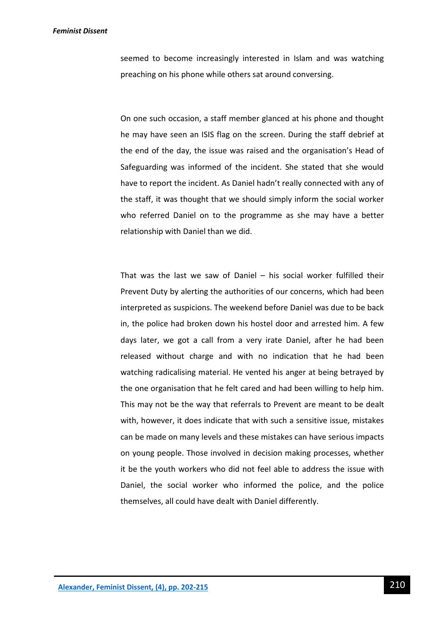seemed to become increasingly interested in Islam and was watching preaching on his phone while others sat around conversing.

On one such occasion, a staff member glanced at his phone and thought he may have seen an ISIS flag on the screen. During the staff debrief at the end of the day, the issue was raised and the organisation's Head of Safeguarding was informed of the incident. She stated that she would have to report the incident. As Daniel hadn't really connected with any of the staff, it was thought that we should simply inform the social worker who referred Daniel on to the programme as she may have a better relationship with Daniel than we did.

That was the last we saw of Daniel – his social worker fulfilled their Prevent Duty by alerting the authorities of our concerns, which had been interpreted as suspicions. The weekend before Daniel was due to be back in, the police had broken down his hostel door and arrested him. A few days later, we got a call from a very irate Daniel, after he had been released without charge and with no indication that he had been watching radicalising material. He vented his anger at being betrayed by the one organisation that he felt cared and had been willing to help him. This may not be the way that referrals to Prevent are meant to be dealt with, however, it does indicate that with such a sensitive issue, mistakes can be made on many levels and these mistakes can have serious impacts on young people. Those involved in decision making processes, whether it be the youth workers who did not feel able to address the issue with Daniel, the social worker who informed the police, and the police themselves, all could have dealt with Daniel differently.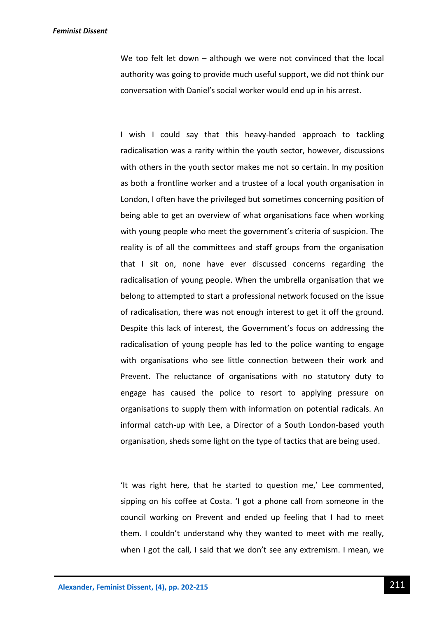We too felt let down – although we were not convinced that the local authority was going to provide much useful support, we did not think our conversation with Daniel's social worker would end up in his arrest.

I wish I could say that this heavy-handed approach to tackling radicalisation was a rarity within the youth sector, however, discussions with others in the youth sector makes me not so certain. In my position as both a frontline worker and a trustee of a local youth organisation in London, I often have the privileged but sometimes concerning position of being able to get an overview of what organisations face when working with young people who meet the government's criteria of suspicion. The reality is of all the committees and staff groups from the organisation that I sit on, none have ever discussed concerns regarding the radicalisation of young people. When the umbrella organisation that we belong to attempted to start a professional network focused on the issue of radicalisation, there was not enough interest to get it off the ground. Despite this lack of interest, the Government's focus on addressing the radicalisation of young people has led to the police wanting to engage with organisations who see little connection between their work and Prevent. The reluctance of organisations with no statutory duty to engage has caused the police to resort to applying pressure on organisations to supply them with information on potential radicals. An informal catch-up with Lee, a Director of a South London-based youth organisation, sheds some light on the type of tactics that are being used.

'It was right here, that he started to question me,' Lee commented, sipping on his coffee at Costa. 'I got a phone call from someone in the council working on Prevent and ended up feeling that I had to meet them. I couldn't understand why they wanted to meet with me really, when I got the call, I said that we don't see any extremism. I mean, we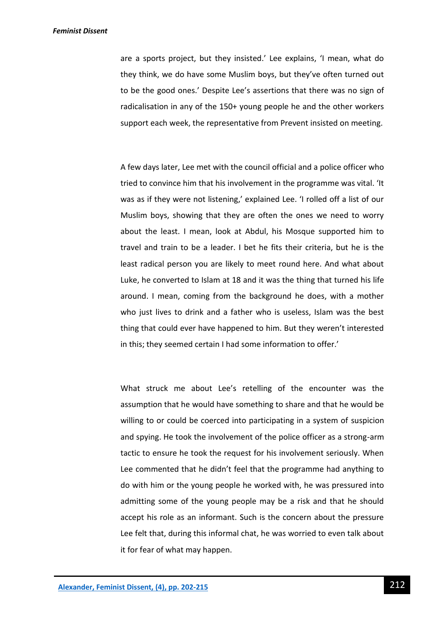are a sports project, but they insisted.' Lee explains, 'I mean, what do they think, we do have some Muslim boys, but they've often turned out to be the good ones.' Despite Lee's assertions that there was no sign of radicalisation in any of the 150+ young people he and the other workers support each week, the representative from Prevent insisted on meeting.

A few days later, Lee met with the council official and a police officer who tried to convince him that his involvement in the programme was vital. 'It was as if they were not listening,' explained Lee. 'I rolled off a list of our Muslim boys, showing that they are often the ones we need to worry about the least. I mean, look at Abdul, his Mosque supported him to travel and train to be a leader. I bet he fits their criteria, but he is the least radical person you are likely to meet round here. And what about Luke, he converted to Islam at 18 and it was the thing that turned his life around. I mean, coming from the background he does, with a mother who just lives to drink and a father who is useless, Islam was the best thing that could ever have happened to him. But they weren't interested in this; they seemed certain I had some information to offer.'

What struck me about Lee's retelling of the encounter was the assumption that he would have something to share and that he would be willing to or could be coerced into participating in a system of suspicion and spying. He took the involvement of the police officer as a strong-arm tactic to ensure he took the request for his involvement seriously. When Lee commented that he didn't feel that the programme had anything to do with him or the young people he worked with, he was pressured into admitting some of the young people may be a risk and that he should accept his role as an informant. Such is the concern about the pressure Lee felt that, during this informal chat, he was worried to even talk about it for fear of what may happen.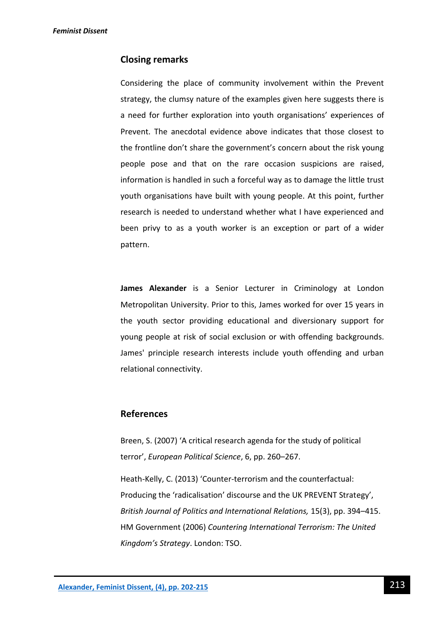### **Closing remarks**

Considering the place of community involvement within the Prevent strategy, the clumsy nature of the examples given here suggests there is a need for further exploration into youth organisations' experiences of Prevent. The anecdotal evidence above indicates that those closest to the frontline don't share the government's concern about the risk young people pose and that on the rare occasion suspicions are raised, information is handled in such a forceful way as to damage the little trust youth organisations have built with young people. At this point, further research is needed to understand whether what I have experienced and been privy to as a youth worker is an exception or part of a wider pattern.

**James Alexander** is a Senior Lecturer in Criminology at London Metropolitan University. Prior to this, James worked for over 15 years in the youth sector providing educational and diversionary support for young people at risk of social exclusion or with offending backgrounds. James' principle research interests include youth offending and urban relational connectivity.

### **References**

Breen, S. (2007) 'A critical research agenda for the study of political terror', *European Political Science*, 6, pp. 260–267.

Heath-Kelly, C. (2013) 'Counter-terrorism and the counterfactual: Producing the 'radicalisation' discourse and the UK PREVENT Strategy', *British Journal of Politics and International Relations,* 15(3), pp. 394–415. HM Government (2006) *Countering International Terrorism: The United Kingdom's Strategy*. London: TSO.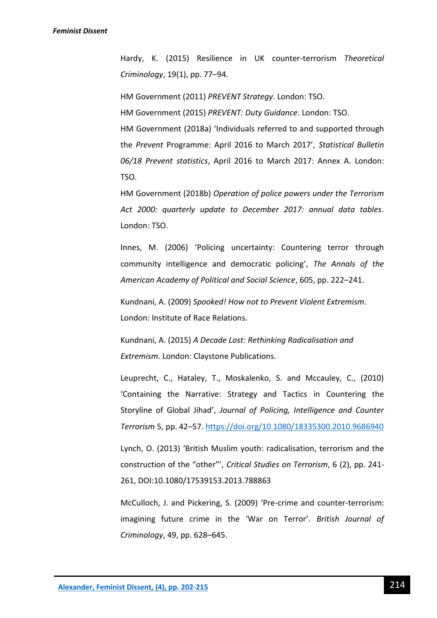Hardy, K. (2015) Resilience in UK counter-terrorism *Theoretical Criminology*, 19(1), pp. 77–94.

HM Government (2011) *PREVENT Strategy*. London: TSO.

HM Government (2015) *PREVENT: Duty Guidance*. London: TSO.

HM Government (2018a) 'Individuals referred to and supported through the *Prevent* Programme: April 2016 to March 2017', *Statistical Bulletin 06/18 Prevent statistics*, April 2016 to March 2017: Annex A. London: TSO.

HM Government (2018b) *Operation of police powers under the Terrorism Act 2000: quarterly update to December 2017: annual data tables*. London: TSO.

Innes, M. (2006) 'Policing uncertainty: Countering terror through community intelligence and democratic policing', *The Annals of the American Academy of Political and Social Science*, 605, pp. 222–241.

Kundnani, A. (2009) *Spooked! How not to Prevent Violent Extremism*. London: Institute of Race Relations.

Kundnani, A. (2015) *A Decade Lost: Rethinking Radicalisation and Extremism*. London: Claystone Publications.

Leuprecht, C., Hataley, T., Moskalenko, S. and Mccauley, C., (2010) 'Containing the Narrative: Strategy and Tactics in Countering the Storyline of Global Jihad', *Journal of Policing, Intelligence and Counter Terrorism* 5, pp. 42–57.<https://doi.org/10.1080/18335300.2010.9686940>

Lynch, O. (2013) 'British Muslim youth: radicalisation, terrorism and the construction of the "other"', *Critical Studies on Terrorism*, 6 (2), pp. 241- 261, DOI:10.1080/17539153.2013.788863

McCulloch, J. and Pickering, S. (2009) 'Pre-crime and counter-terrorism: imagining future crime in the 'War on Terror'. *British Journal of Criminology*, 49, pp. 628–645.